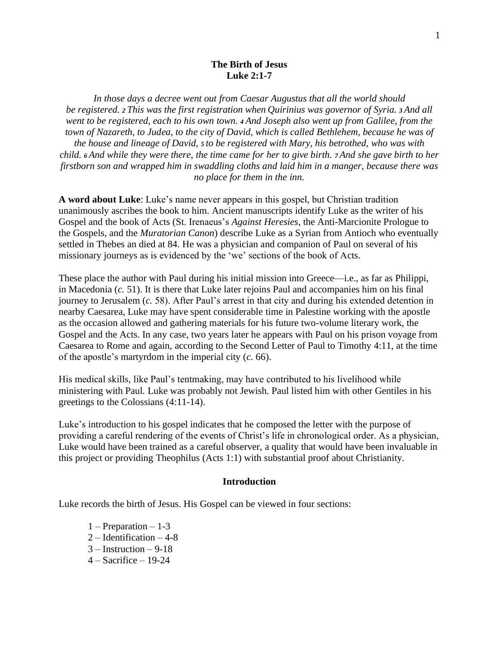# **The Birth of Jesus Luke 2:1-7**

*In those days a decree went out from Caesar Augustus that all the world should be registered. <sup>2</sup> This was the first registration when Quirinius was governor of Syria. <sup>3</sup> And all went to be registered, each to his own town. <sup>4</sup> And Joseph also went up from Galilee, from the town of Nazareth, to Judea, to the city of David, which is called Bethlehem, because he was of the house and lineage of David, <sup>5</sup> to be registered with Mary, his betrothed, who was with child. <sup>6</sup> And while they were there, the time came for her to give birth. <sup>7</sup> And she gave birth to her firstborn son and wrapped him in swaddling cloths and laid him in a manger, because there was no place for them in the inn.*

**A word about Luke**: Luke's name never appears in this gospel, but Christian tradition unanimously ascribes the book to him. Ancient manuscripts identify Luke as the writer of his Gospel and the book of Acts (St. Irenaeus's *Against Heresies*, the Anti-Marcionite Prologue to the Gospels, and the *Muratorian Canon*) describe Luke as a Syrian from Antioch who eventually settled in Thebes an died at 84. He was a physician and companion of Paul on several of his missionary journeys as is evidenced by the 'we' sections of the book of Acts.

These place the author with [Paul](https://www.britannica.com/biography/Saint-Paul-the-Apostle) during his initial mission into [Greece—](https://www.britannica.com/place/Greece)i.e., as far as [Philippi,](https://www.britannica.com/place/Philippi-Greece) in Macedonia (*c.* 51). It is there that Luke later rejoins Paul and accompanies him on his final journey to [Jerusalem](https://www.britannica.com/place/Jerusalem) (*c.* 58). After Paul's arrest in that city and during his extended detention in nearby [Caesarea,](https://www.britannica.com/place/Caesarea) Luke may have spent considerable time in [Palestine](https://www.britannica.com/place/Palestine) working with the apostle as the occasion allowed and gathering materials for his future two-volume literary work, the Gospel and the Acts. In any case, two years later he appears with Paul on his prison voyage from Caesarea to [Rome](https://www.britannica.com/place/Rome) and again, according to the Second Letter of Paul to Timothy 4:11, at the time of the apostle's [martyrdom](https://www.britannica.com/topic/martyr) in the [imperial city](https://www.britannica.com/topic/imperial-city-Holy-Roman-Empire) (*c.* 66).

His medical skills, like Paul's tentmaking, may have contributed to his livelihood while ministering with Paul. Luke was probably not Jewish. Paul listed him with other Gentiles in his greetings to the Colossians (4:11-14).

Luke's introduction to his gospel indicates that he composed the letter with the purpose of providing a careful rendering of the events of Christ's life in chronological order. As a physician, Luke would have been trained as a careful observer, a quality that would have been invaluable in this project or providing Theophilus (Acts 1:1) with substantial proof about Christianity.

#### **Introduction**

Luke records the birth of Jesus. His Gospel can be viewed in four sections:

- 1 Preparation 1-3
- 2 Identification 4-8
- 3 Instruction 9-18
- 4 Sacrifice 19-24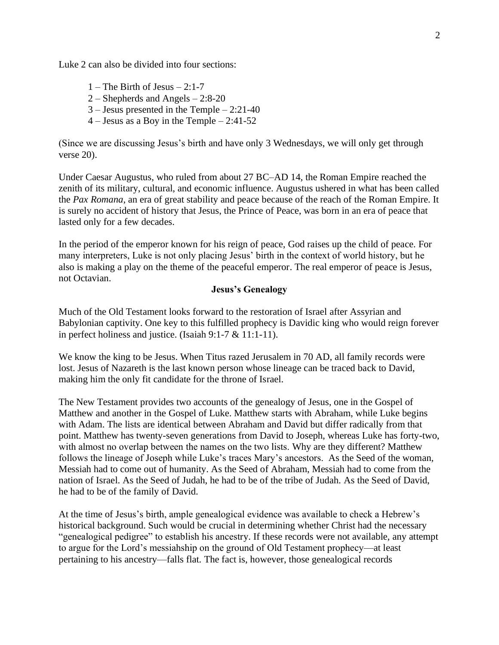Luke 2 can also be divided into four sections:

- $1$  The Birth of Jesus 2:1-7
- 2 Shepherds and Angels 2:8-20
- 3 Jesus presented in the Temple 2:21-40
- 4 Jesus as a Boy in the Temple 2:41-52

(Since we are discussing Jesus's birth and have only 3 Wednesdays, we will only get through verse 20).

Under Caesar Augustus, who ruled from about 27 BC–AD 14, the Roman Empire reached the zenith of its military, cultural, and economic influence. Augustus ushered in what has been called the *Pax Romana*, an era of great stability and peace because of the reach of the Roman Empire. It is surely no accident of history that Jesus, the Prince of Peace, was born in an era of peace that lasted only for a few decades.

In the period of the emperor known for his reign of peace, God raises up the child of peace. For many interpreters, Luke is not only placing Jesus' birth in the context of world history, but he also is making a play on the theme of the peaceful emperor. The real emperor of peace is Jesus, not Octavian.

# **Jesus's Genealogy**

Much of the Old Testament looks forward to the restoration of Israel after Assyrian and Babylonian captivity. One key to this fulfilled prophecy is Davidic king who would reign forever in perfect holiness and justice. (Isaiah 9:1-7 & 11:1-11).

We know the king to be Jesus. When Titus razed Jerusalem in 70 AD, all family records were lost. Jesus of Nazareth is the last known person whose lineage can be traced back to David, making him the only fit candidate for the throne of Israel.

The New Testament provides two accounts of the genealogy of Jesus, one in the Gospel of Matthew and another in the Gospel of Luke. Matthew starts with Abraham, while Luke begins with Adam. The lists are identical between Abraham and David but differ radically from that point. Matthew has twenty-seven generations from David to Joseph, whereas Luke has forty-two, with almost no overlap between the names on the two lists. Why are they different? Matthew follows the lineage of Joseph while Luke's traces Mary's ancestors. As the Seed of the woman, Messiah had to come out of humanity. As the Seed of Abraham, Messiah had to come from the nation of Israel. As the Seed of Judah, he had to be of the tribe of Judah. As the Seed of David, he had to be of the family of David.

At the time of Jesus's birth, ample genealogical evidence was available to check a Hebrew's historical background. Such would be crucial in determining whether Christ had the necessary "genealogical pedigree" to establish his ancestry. If these records were not available, any attempt to argue for the Lord's messiahship on the ground of Old Testament prophecy—at least pertaining to his ancestry—falls flat. The fact is, however, those genealogical records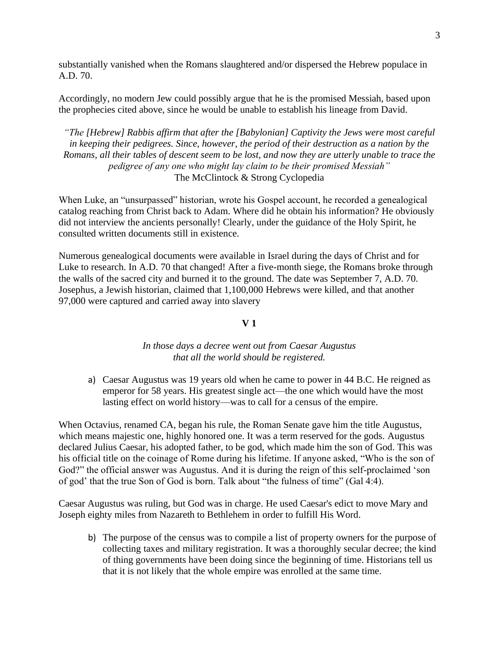substantially vanished when the Romans slaughtered and/or dispersed the Hebrew populace in A.D. 70.

Accordingly, no modern Jew could possibly argue that he is the promised Messiah, based upon the prophecies cited above, since he would be unable to establish his lineage from David.

*"The [Hebrew] Rabbis affirm that after the [Babylonian] Captivity the Jews were most careful in keeping their pedigrees. Since, however, the period of their destruction as a nation by the Romans, all their tables of descent seem to be lost, and now they are utterly unable to trace the pedigree of any one who might lay claim to be their promised Messiah"*  The McClintock & Strong Cyclopedia

When Luke, an "unsurpassed" historian, wrote his Gospel account, he recorded a genealogical catalog reaching from Christ back to Adam. Where did he obtain his information? He obviously did not interview the ancients personally! Clearly, under the guidance of the Holy Spirit, he consulted written documents still in existence.

Numerous genealogical documents were available in Israel during the days of Christ and for Luke to research. In A.D. 70 that changed! After a five-month siege, the Romans broke through the walls of the sacred city and burned it to the ground. The date was September 7, A.D. 70. Josephus, a Jewish historian, claimed that 1,100,000 Hebrews were killed, and that another 97,000 were captured and carried away into slavery

# **V 1**

# *In those days a decree went out from Caesar Augustus that all the world should be registered.*

a) Caesar Augustus was 19 years old when he came to power in 44 B.C. He reigned as emperor for 58 years. His greatest single act—the one which would have the most lasting effect on world history—was to call for a census of the empire.

When Octavius, renamed CA, began his rule, the Roman Senate gave him the title Augustus, which means majestic one, highly honored one. It was a term reserved for the gods. Augustus declared Julius Caesar, his adopted father, to be god, which made him the son of God. This was his official title on the coinage of Rome during his lifetime. If anyone asked, "Who is the son of God?" the official answer was Augustus. And it is during the reign of this self-proclaimed 'son of god' that the true Son of God is born. Talk about "the fulness of time" (Gal 4:4).

Caesar Augustus was ruling, but God was in charge. He used Caesar's edict to move Mary and Joseph eighty miles from Nazareth to Bethlehem in order to fulfill His Word.

b) The purpose of the census was to compile a list of property owners for the purpose of collecting taxes and military registration. It was a thoroughly secular decree; the kind of thing governments have been doing since the beginning of time. Historians tell us that it is not likely that the whole empire was enrolled at the same time.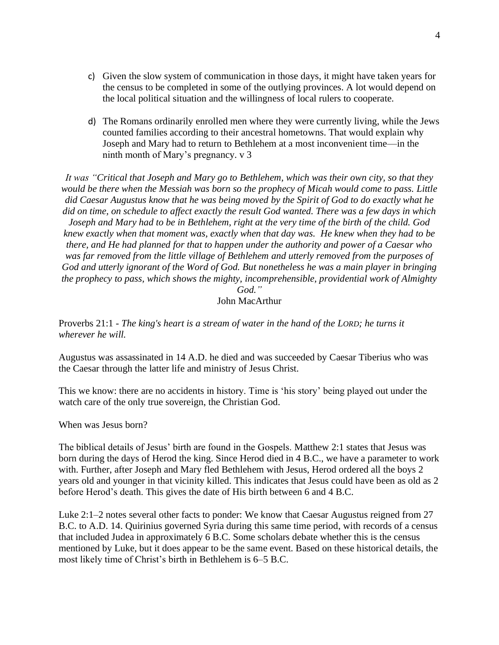- c) Given the slow system of communication in those days, it might have taken years for the census to be completed in some of the outlying provinces. A lot would depend on the local political situation and the willingness of local rulers to cooperate.
- d) The Romans ordinarily enrolled men where they were currently living, while the Jews counted families according to their ancestral hometowns. That would explain why Joseph and Mary had to return to Bethlehem at a most inconvenient time—in the ninth month of Mary's pregnancy. v 3

*It was "Critical that Joseph and Mary go to Bethlehem, which was their own city, so that they would be there when the Messiah was born so the prophecy of Micah would come to pass. Little did Caesar Augustus know that he was being moved by the Spirit of God to do exactly what he did on time, on schedule to affect exactly the result God wanted. There was a few days in which Joseph and Mary had to be in Bethlehem, right at the very time of the birth of the child. God knew exactly when that moment was, exactly when that day was. He knew when they had to be there, and He had planned for that to happen under the authority and power of a Caesar who was far removed from the little village of Bethlehem and utterly removed from the purposes of God and utterly ignorant of the Word of God. But nonetheless he was a main player in bringing the prophecy to pass, which shows the mighty, incomprehensible, providential work of Almighty* 

*God."* John MacArthur

Proverbs 21:1 - *The king's heart is a stream of water in the hand of the LORD; he turns it wherever he will.*

Augustus was assassinated in 14 A.D. he died and was succeeded by Caesar Tiberius who was the Caesar through the latter life and ministry of Jesus Christ.

This we know: there are no accidents in history. Time is 'his story' being played out under the watch care of the only true sovereign, the Christian God.

When was Jesus born?

The biblical details of Jesus' birth are found in the Gospels. Matthew 2:1 states that Jesus was born during the days of Herod the king. Since Herod died in 4 B.C., we have a parameter to work with. Further, after Joseph and Mary fled Bethlehem with Jesus, Herod ordered all the boys 2 years old and younger in that vicinity killed. This indicates that Jesus could have been as old as 2 before Herod's death. This gives the date of His birth between 6 and 4 B.C.

Luke 2:1–2 notes several other facts to ponder: We know that Caesar Augustus reigned from 27 B.C. to A.D. 14. Quirinius governed Syria during this same time period, with records of a census that included Judea in approximately 6 B.C. Some scholars debate whether this is the census mentioned by Luke, but it does appear to be the same event. Based on these historical details, the most likely time of Christ's birth in Bethlehem is 6–5 B.C.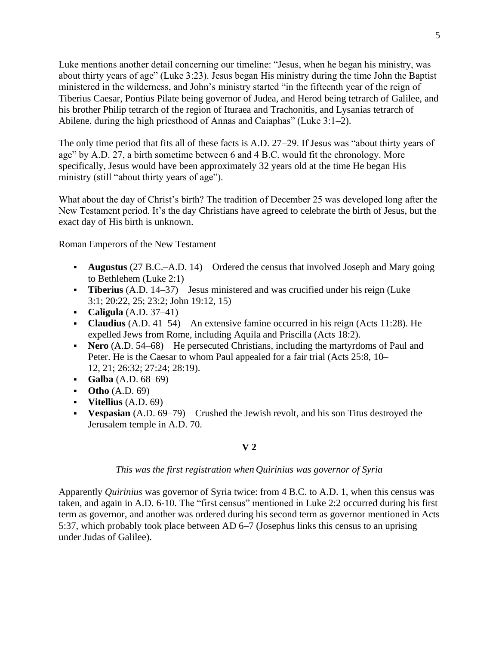Luke mentions another detail concerning our timeline: "Jesus, when he began his ministry, was about thirty years of age" (Luke 3:23). Jesus began His ministry during the time John the Baptist ministered in the wilderness, and John's ministry started "in the fifteenth year of the reign of Tiberius Caesar, Pontius Pilate being governor of Judea, and Herod being tetrarch of Galilee, and his brother Philip tetrarch of the region of Ituraea and Trachonitis, and Lysanias tetrarch of Abilene, during the high priesthood of Annas and Caiaphas" (Luke 3:1–2).

The only time period that fits all of these facts is A.D. 27–29. If Jesus was "about thirty years of age" by A.D. 27, a birth sometime between 6 and 4 B.C. would fit the chronology. More specifically, Jesus would have been approximately 32 years old at the time He began His ministry (still "about thirty years of age").

What about the day of Christ's birth? The tradition of December 25 was developed long after the New Testament period. It's the day Christians have agreed to celebrate the birth of Jesus, but the exact day of His birth is unknown.

Roman Emperors of the New Testament

- **Augustus** (27 B.C.–A.D. 14) Ordered the census that involved Joseph and Mary going to Bethlehem (Luke 2:1)
- **Tiberius** (A.D. 14–37) Jesus ministered and was crucified under his reign (Luke 3:1; 20:22, 25; 23:2; John 19:12, 15)
- **Caligula** (A.D. 37–41)
- **Claudius** (A.D. 41–54) An extensive famine occurred in his reign (Acts 11:28). He expelled Jews from Rome, including Aquila and Priscilla (Acts 18:2).
- **Nero** (A.D. 54–68) He persecuted Christians, including the martyrdoms of Paul and Peter. He is the Caesar to whom Paul appealed for a fair trial (Acts 25:8, 10– 12, 21; 26:32; 27:24; 28:19).
- **Galba** (A.D. 68–69)
- Otho (A.D. 69)
- **Vitellius** (A.D. 69)
- **• Vespasian** (A.D. 69–79) Crushed the Jewish revolt, and his son Titus destroyed the Jerusalem temple in A.D. 70.

## **V 2**

## *This was the first registration when Quirinius was governor of Syria*

Apparently *Quirinius* was governor of Syria twice: from 4 B.C. to A.D. 1, when this census was taken, and again in A.D. 6-10. The "first census" mentioned in Luke 2:2 occurred during his first term as governor, and another was ordered during his second term as governor mentioned in Acts 5:37, which probably took place between AD 6–7 (Josephus links this census to an uprising under Judas of Galilee).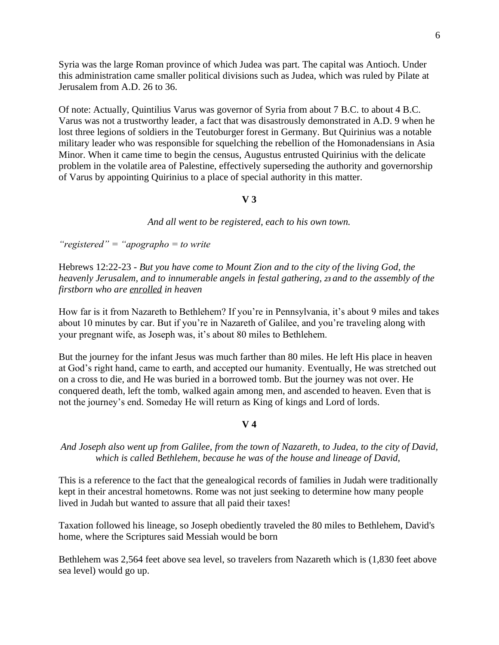Syria was the large Roman province of which Judea was part. The capital was Antioch. Under this administration came smaller political divisions such as Judea, which was ruled by Pilate at Jerusalem from A.D. 26 to 36.

Of note: Actually, Quintilius Varus was governor of Syria from about 7 B.C. to about 4 B.C. Varus was not a trustworthy leader, a fact that was disastrously demonstrated in A.D. 9 when he lost three legions of soldiers in the Teutoburger forest in Germany. But Quirinius was a notable military leader who was responsible for squelching the rebellion of the Homonadensians in Asia Minor. When it came time to begin the census, Augustus entrusted Quirinius with the delicate problem in the volatile area of Palestine, effectively superseding the authority and governorship of Varus by appointing Quirinius to a place of special authority in this matter.

# **V 3**

*And all went to be registered, each to his own town.*

*"registered" = "apographo = to write* 

Hebrews 12:22-23 - *But you have come to Mount Zion and to the city of the living God, the heavenly Jerusalem, and to innumerable angels in festal gathering, <sup>23</sup> and to the assembly of the firstborn who are enrolled in heaven*

How far is it from Nazareth to Bethlehem? If you're in Pennsylvania, it's about 9 miles and takes about 10 minutes by car. But if you're in Nazareth of Galilee, and you're traveling along with your pregnant wife, as Joseph was, it's about 80 miles to Bethlehem.

But the journey for the infant Jesus was much farther than 80 miles. He left His place in heaven at God's right hand, came to earth, and accepted our humanity. Eventually, He was stretched out on a cross to die, and He was buried in a borrowed tomb. But the journey was not over. He conquered death, left the tomb, walked again among men, and ascended to heaven. Even that is not the journey's end. Someday He will return as King of kings and Lord of lords.

# **V 4**

# *And Joseph also went up from Galilee, from the town of Nazareth, to Judea, to the city of David, which is called Bethlehem, because he was of the house and lineage of David,*

This is a reference to the fact that the genealogical records of families in Judah were traditionally kept in their ancestral hometowns. Rome was not just seeking to determine how many people lived in Judah but wanted to assure that all paid their taxes!

Taxation followed his lineage, so Joseph obediently traveled the 80 miles to Bethlehem, David's home, where the Scriptures said Messiah would be born

Bethlehem was 2,564 feet above sea level, so travelers from Nazareth which is (1,830 feet above sea level) would go up.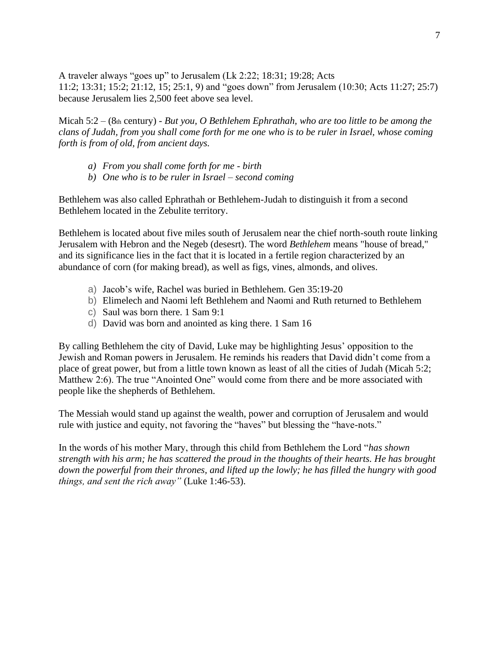A traveler always "goes up" to Jerusalem (Lk 2:22; 18:31; 19:28; Acts 11:2; 13:31; 15:2; 21:12, 15; 25:1, 9) and "goes down" from Jerusalem (10:30; Acts 11:27; 25:7) because Jerusalem lies 2,500 feet above sea level.

Micah 5:2 – (8th century) - *But you, O Bethlehem Ephrathah, who are too little to be among the clans of Judah, from you shall come forth for me one who is to be ruler in Israel, whose coming forth is from of old, from ancient days.*

- *a) From you shall come forth for me - birth*
- *b) One who is to be ruler in Israel – second coming*

Bethlehem was also called Ephrathah or Bethlehem-Judah to distinguish it from a second Bethlehem located in the Zebulite territory.

Bethlehem is located about five miles south of Jerusalem near the chief north-south route linking Jerusalem with Hebron and the Negeb (desesrt). The word *Bethlehem* means "house of bread," and its significance lies in the fact that it is located in a fertile region characterized by an abundance of corn (for making bread), as well as figs, vines, almonds, and olives.

- a) Jacob's wife, Rachel was buried in Bethlehem. Gen 35:19-20
- b) Elimelech and Naomi left Bethlehem and Naomi and Ruth returned to Bethlehem
- c) Saul was born there. 1 Sam 9:1
- d) David was born and anointed as king there. 1 Sam 16

By calling Bethlehem the city of David, Luke may be highlighting Jesus' opposition to the Jewish and Roman powers in Jerusalem. He reminds his readers that David didn't come from a place of great power, but from a little town known as least of all the cities of Judah (Micah 5:2; Matthew 2:6). The true "Anointed One" would come from there and be more associated with people like the shepherds of Bethlehem.

The Messiah would stand up against the wealth, power and corruption of Jerusalem and would rule with justice and equity, not favoring the "haves" but blessing the "have-nots."

In the words of his mother Mary, through this child from Bethlehem the Lord "*has shown strength with his arm; he has scattered the proud in the thoughts of their hearts. He has brought down the powerful from their thrones, and lifted up the lowly; he has filled the hungry with good things, and sent the rich away"* (Luke 1:46-53).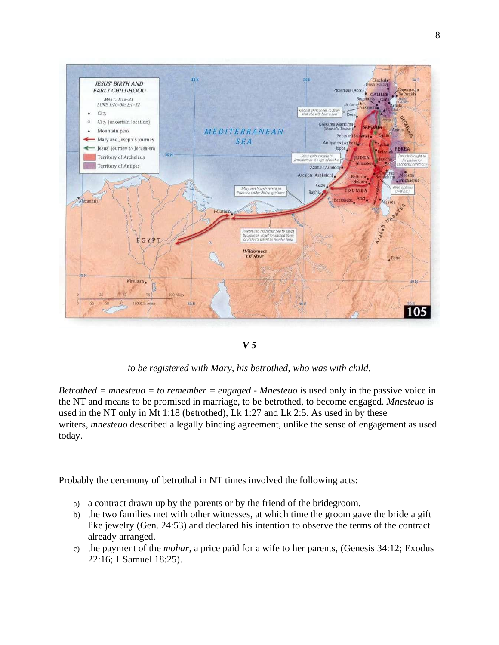

## *V 5*

*to be registered with Mary, his betrothed, who was with child.*

*Betrothed = mnesteuo = to remember = engaged - Mnesteuo i*s used only in the passive voice in the NT and means to be promised in marriage, to be betrothed, to become engaged. *Mnesteuo* is used in the NT only in Mt 1:18 (betrothed), Lk 1:27 and Lk 2:5. As used in by these writers, *mnesteuo* described a legally binding agreement, unlike the sense of engagement as used today.

Probably the ceremony of betrothal in NT times involved the following acts:

- a) a contract drawn up by the parents or by the friend of the bridegroom.
- b) the two families met with other witnesses, at which time the groom gave the bride a gift like jewelry (Gen. 24:53) and declared his intention to observe the terms of the contract already arranged.
- c) the payment of the *mohar*, a price paid for a wife to her parents, (Genesis 34:12; Exodus 22:16; 1 Samuel 18:25).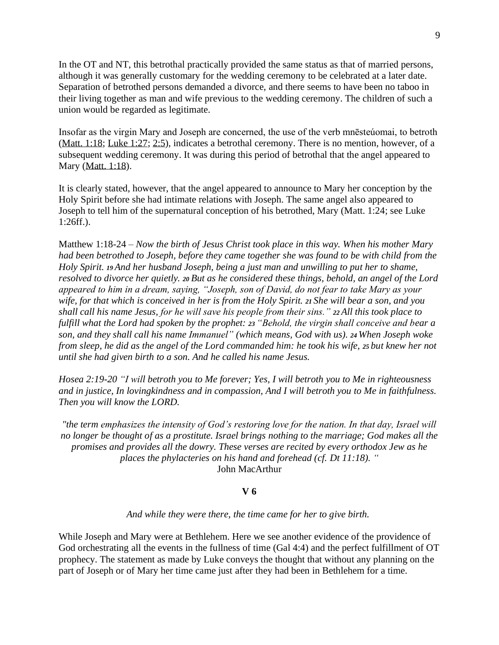In the OT and NT, this betrothal practically provided the same status as that of married persons, although it was generally customary for the wedding ceremony to be celebrated at a later date. Separation of betrothed persons demanded a divorce, and there seems to have been no taboo in their living together as man and wife previous to the wedding ceremony. The children of such a union would be regarded as legitimate.

Insofar as the virgin Mary and Joseph are concerned, the use of the verb mnēsteúomai, to betroth (Matt. 1:18; Luke 1:27; [2:5\)](https://biblia.com/bible/nasb95/Luke%202.5), indicates a betrothal ceremony. There is no mention, however, of a subsequent wedding ceremony. It was during this period of betrothal that the angel appeared to Mary (Matt. 1:18).

It is clearly stated, however, that the angel appeared to announce to Mary her conception by the Holy Spirit before she had intimate relations with Joseph. The same angel also appeared to Joseph to tell him of the supernatural conception of his betrothed, Mary (Matt. 1:24; see Luke 1:26ff.).

Matthew 1:18-24 – *Now the birth of Jesus Christ took place in this way. When his mother Mary had been betrothed to Joseph, before they came together she was found to be with child from the Holy Spirit. <sup>19</sup> And her husband Joseph, being a just man and unwilling to put her to shame, resolved to divorce her quietly. <sup>20</sup> But as he considered these things, behold, an angel of the Lord appeared to him in a dream, saying, "Joseph, son of David, do not fear to take Mary as your wife, for that which is conceived in her is from the Holy Spirit. <sup>21</sup> She will bear a son, and you shall call his name Jesus, for he will save his people from their sins." <sup>22</sup> All this took place to fulfill what the Lord had spoken by the prophet: <sup>23</sup> "Behold, the virgin shall conceive and bear a son, and they shall call his name Immanuel" (which means, God with us). <sup>24</sup> When Joseph woke from sleep, he did as the angel of the Lord commanded him: he took his wife, <sup>25</sup> but knew her not until she had given birth to a son. And he called his name Jesus.*

*Hosea 2:19-20 "I will betroth you to Me forever; Yes, I will betroth you to Me in righteousness and in justice, In lovingkindness and in compassion, And I will betroth you to Me in faithfulness. Then you will know the LORD.*

*"the term emphasizes the intensity of God's restoring love for the nation. In that day, Israel will no longer be thought of as a prostitute. Israel brings nothing to the marriage; God makes all the promises and provides all the dowry. These verses are recited by every orthodox Jew as he places the phylacteries on his hand and forehead (cf. Dt 11:18). "* John MacArthur

## **V 6**

#### *And while they were there, the time came for her to give birth.*

While Joseph and Mary were at Bethlehem. Here we see another evidence of the providence of God orchestrating all the events in the fullness of time (Gal 4:4) and the perfect fulfillment of OT prophecy. The statement as made by Luke conveys the thought that without any planning on the part of Joseph or of Mary her time came just after they had been in Bethlehem for a time.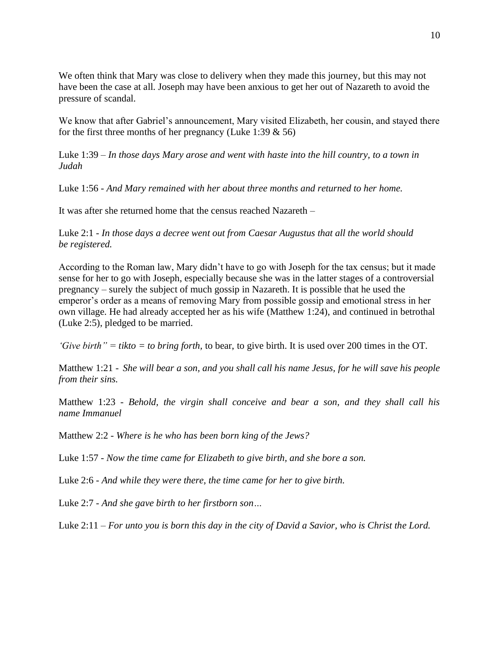We often think that Mary was close to delivery when they made this journey, but this may not have been the case at all. Joseph may have been anxious to get her out of Nazareth to avoid the pressure of scandal.

We know that after Gabriel's announcement, Mary visited Elizabeth, her cousin, and stayed there for the first three months of her pregnancy (Luke 1:39  $\&$  56)

Luke 1:39 – *In those days Mary arose and went with haste into the hill country, to a town in Judah*

Luke 1:56 - *And Mary remained with her about three months and returned to her home.*

It was after she returned home that the census reached Nazareth –

Luke 2:1 - *In those days a decree went out from Caesar Augustus that all the world should be registered.*

According to the Roman law, Mary didn't have to go with Joseph for the tax census; but it made sense for her to go with Joseph, especially because she was in the latter stages of a controversial pregnancy – surely the subject of much gossip in Nazareth. It is possible that he used the emperor's order as a means of removing Mary from possible gossip and emotional stress in her own village. He had already accepted her as his wife (Matthew 1:24), and continued in betrothal (Luke 2:5), pledged to be married.

*'Give birth" = tikto = to bring forth,* to bear, to give birth. It is used over 200 times in the OT.

Matthew 1:21 - *She will bear a son, and you shall call his name Jesus, for he will save his people from their sins.*

Matthew 1:23 - *Behold, the virgin shall conceive and bear a son, and they shall call his name Immanuel*

Matthew 2:2 - *Where is he who has been born king of the Jews?*

Luke 1:57 - *Now the time came for Elizabeth to give birth, and she bore a son.*

Luke 2:6 - *And while they were there, the time came for her to give birth.*

Luke 2:7 - *And she gave birth to her firstborn son…*

Luke 2:11 – *For unto you is born this day in the city of David a Savior, who is Christ the Lord.*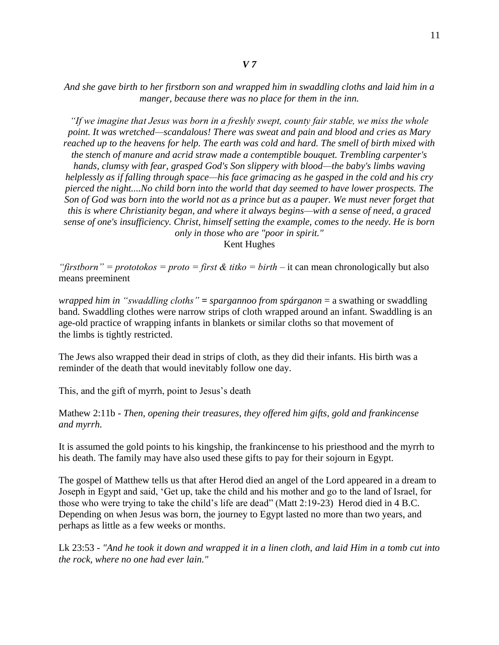*"If we imagine that Jesus was born in a freshly swept, county fair stable, we miss the whole point. It was wretched—scandalous! There was sweat and pain and blood and cries as Mary reached up to the heavens for help. The earth was cold and hard. The smell of birth mixed with the stench of manure and acrid straw made a contemptible bouquet. Trembling carpenter's hands, clumsy with fear, grasped God's Son slippery with blood—the baby's limbs waving helplessly as if falling through space—his face grimacing as he gasped in the cold and his cry pierced the night....No child born into the world that day seemed to have lower prospects. The Son of God was born into the world not as a prince but as a pauper. We must never forget that this is where Christianity began, and where it always begins—with a sense of need, a graced sense of one's insufficiency. Christ, himself setting the example, comes to the needy. He is born only in those who are "poor in spirit."*

Kent Hughes

"*firstborn"* = *prototokos* = *proto* = *first* & *titko* = *birth* – it can mean chronologically but also means preeminent

*wrapped him in "swaddling cloths" = spargannoo from spárganon* = a swathing or swaddling band. Swaddling clothes were narrow strips of cloth wrapped around an infant. Swaddling is an age-old practice of wrapping infants in blankets or similar cloths so that movement of the limbs is tightly restricted.

The Jews also wrapped their dead in strips of cloth, as they did their infants. His birth was a reminder of the death that would inevitably follow one day.

This, and the gift of myrrh, point to Jesus's death

Mathew 2:11b - *Then, opening their treasures, they offered him gifts, gold and frankincense and myrrh.*

It is assumed the gold points to his kingship, the frankincense to his priesthood and the myrrh to his death. The family may have also used these gifts to pay for their sojourn in Egypt.

The gospel of Matthew tells us that after Herod died an angel of the Lord appeared in a dream to Joseph in Egypt and said, 'Get up, take the child and his mother and go to the land of Israel, for those who were trying to take the child's life are dead" (Matt 2:19-23) Herod died in 4 B.C. Depending on when Jesus was born, the journey to Egypt lasted no more than two years, and perhaps as little as a few weeks or months.

Lk 23:53 *- "And he took it down and wrapped it in a linen cloth, and laid Him in a tomb cut into the rock, where no one had ever lain."*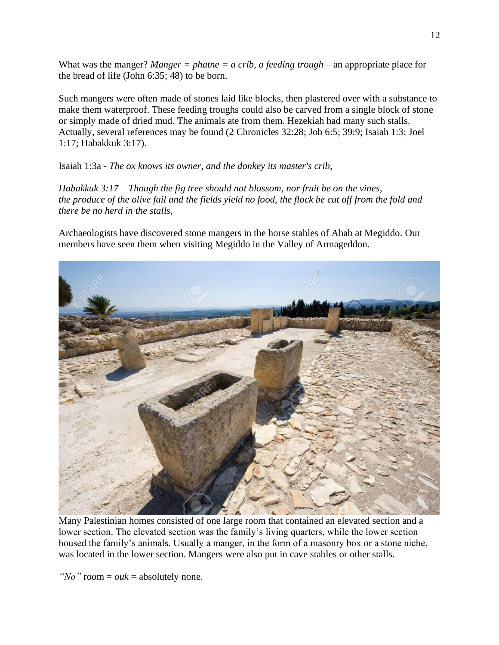What was the manger? *Manger = phatne = a crib, a feeding trough –* an appropriate place for the bread of life (John 6:35; 48) to be born.

Such mangers were often made of stones laid like blocks, then plastered over with a substance to make them waterproof. These feeding troughs could also be carved from a single block of stone or simply made of dried mud. The animals ate from them. Hezekiah had many such stalls. Actually, several references may be found (2 Chronicles 32:28; Job 6:5; 39:9; Isaiah 1:3; Joel 1:17; Habakkuk 3:17).

Isaiah 1:3a - *The ox knows its owner, and the donkey its master's crib,*

*Habakkuk 3:17 – Though the fig tree should not blossom, nor fruit be on the vines, the produce of the olive fail and the fields yield no food, the flock be cut off from the fold and there be no herd in the stalls,*

Archaeologists have discovered stone mangers in the horse stables of Ahab at Megiddo. Our members have seen them when visiting Megiddo in the Valley of Armageddon.



Many Palestinian homes consisted of one large room that contained an elevated section and a lower section. The elevated section was the family's living quarters, while the lower section housed the family's animals. Usually a manger, in the form of a masonry box or a stone niche, was located in the lower section. Mangers were also put in cave stables or other stalls.

*"No"* room = *ouk* = absolutely none.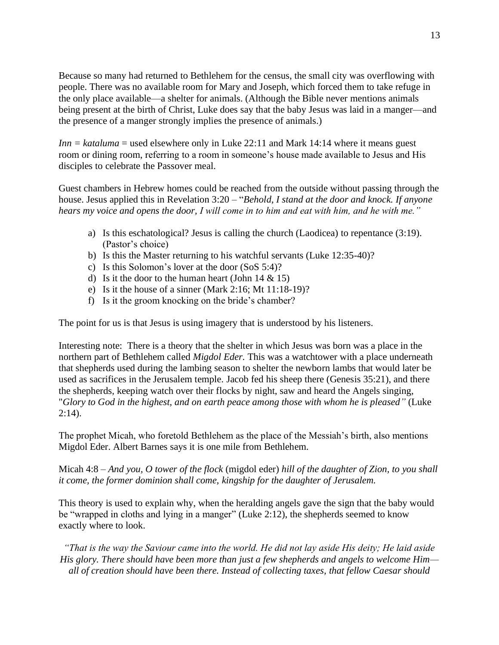Because so many had returned to Bethlehem for the census, the small city was overflowing with people. There was no available room for Mary and Joseph, which forced them to take refuge in the only place available—a shelter for animals. (Although the Bible never mentions animals being present at the birth of Christ, Luke does say that the baby Jesus was laid in a manger—and the presence of a manger strongly implies the presence of animals.)

*Inn* = *kataluma* = used elsewhere only in Luke 22:11 and Mark 14:14 where it means guest room or dining room, referring to a room in someone's house made available to Jesus and His disciples to celebrate the Passover meal.

Guest chambers in Hebrew homes could be reached from the outside without passing through the house. Jesus applied this in Revelation 3:20 – "*Behold, I stand at the door and knock. If anyone hears my voice and opens the door, I will come in to him and eat with him, and he with me."*

- a) Is this eschatological? Jesus is calling the church (Laodicea) to repentance (3:19). (Pastor's choice)
- b) Is this the Master returning to his watchful servants (Luke 12:35-40)?
- c) Is this Solomon's lover at the door (SoS 5:4)?
- d) Is it the door to the human heart (John  $14 \& 15$ )
- e) Is it the house of a sinner (Mark 2:16; Mt 11:18-19)?
- f) Is it the groom knocking on the bride's chamber?

The point for us is that Jesus is using imagery that is understood by his listeners.

Interesting note: There is a theory that the shelter in which Jesus was born was a place in the northern part of Bethlehem called *Migdol Eder.* This was a watchtower with a place underneath that shepherds used during the lambing season to shelter the newborn lambs that would later be used as sacrifices in the Jerusalem temple. Jacob fed his sheep there (Genesis 35:21), and there the shepherds, keeping watch over their flocks by night, saw and heard the Angels singing, "*Glory to God in the highest, and on earth peace among those with whom he is pleased"* (Luke  $2:14$ ).

The prophet Micah, who foretold Bethlehem as the place of the Messiah's birth, also mentions Migdol Eder. Albert Barnes says it is one mile from Bethlehem.

Micah 4:8 – *And you, O tower of the flock* (migdol eder) *hill of the daughter of Zion, to you shall it come, the former dominion shall come, kingship for the daughter of Jerusalem.*

This theory is used to explain why, when the heralding angels gave the sign that the baby would be "wrapped in cloths and lying in a manger" (Luke 2:12), the shepherds seemed to know exactly where to look.

*"That is the way the Saviour came into the world. He did not lay aside His deity; He laid aside His glory. There should have been more than just a few shepherds and angels to welcome Him all of creation should have been there. Instead of collecting taxes, that fellow Caesar should*